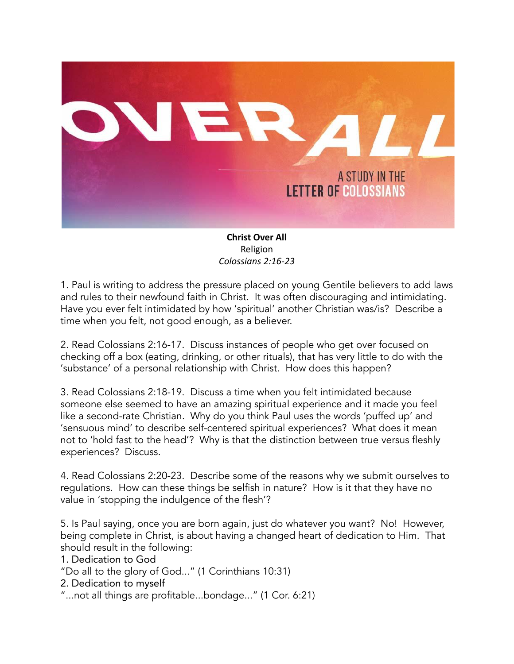

**Christ Over All** Religion *Colossians 2:16-23*

1. Paul is writing to address the pressure placed on young Gentile believers to add laws and rules to their newfound faith in Christ. It was often discouraging and intimidating. Have you ever felt intimidated by how 'spiritual' another Christian was/is? Describe a time when you felt, not good enough, as a believer.

2. Read Colossians 2:16-17. Discuss instances of people who get over focused on checking off a box (eating, drinking, or other rituals), that has very little to do with the 'substance' of a personal relationship with Christ. How does this happen?

3. Read Colossians 2:18-19. Discuss a time when you felt intimidated because someone else seemed to have an amazing spiritual experience and it made you feel like a second-rate Christian. Why do you think Paul uses the words 'puffed up' and 'sensuous mind' to describe self-centered spiritual experiences? What does it mean not to 'hold fast to the head'? Why is that the distinction between true versus fleshly experiences? Discuss.

4. Read Colossians 2:20-23. Describe some of the reasons why we submit ourselves to regulations. How can these things be selfish in nature? How is it that they have no value in 'stopping the indulgence of the flesh'?

5. Is Paul saying, once you are born again, just do whatever you want? No! However, being complete in Christ, is about having a changed heart of dedication to Him. That should result in the following:

1. Dedication to God

"Do all to the glory of God..." (1 Corinthians 10:31)

2. Dedication to myself

"...not all things are profitable...bondage..." (1 Cor. 6:21)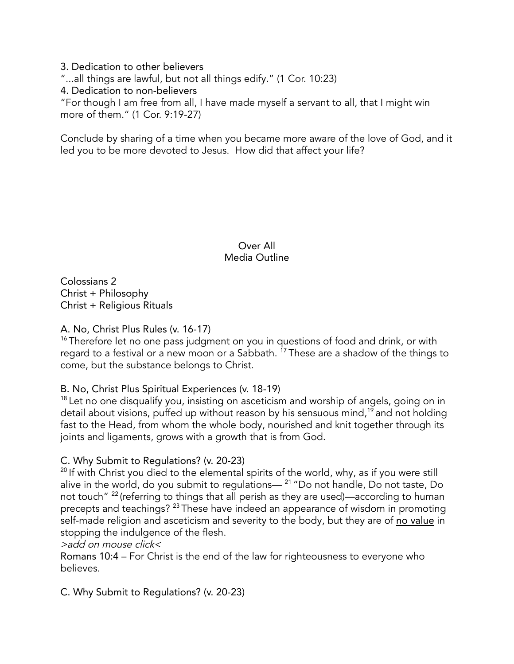3. Dedication to other believers "...all things are lawful, but not all things edify." (1 Cor. 10:23) 4. Dedication to non-believers "For though I am free from all, I have made myself a servant to all, that I might win more of them." (1 Cor. 9:19-27)

Conclude by sharing of a time when you became more aware of the love of God, and it led you to be more devoted to Jesus. How did that affect your life?

> Over All Media Outline

Colossians 2 Christ + Philosophy Christ + Religious Rituals

A. No, Christ Plus Rules (v. 16-17)

<sup>16</sup> Therefore let no one pass judgment on you in questions of food and drink, or with regard to a festival or a new moon or a Sabbath. <sup>17</sup> These are a shadow of the things to come, but the substance belongs to Christ.

### B. No, Christ Plus Spiritual Experiences (v. 18-19)

 $18$  Let no one disqualify you, insisting on asceticism and worship of angels, going on in detail about visions, puffed up without reason by his sensuous mind, <sup>19</sup> and not holding fast to the Head, from whom the whole body, nourished and knit together through its joints and ligaments, grows with a growth that is from God.

### C. Why Submit to Regulations? (v. 20-23)

 $^{20}$  If with Christ you died to the elemental spirits of the world, why, as if you were still alive in the world, do you submit to regulations— <sup>21</sup> "Do not handle, Do not taste, Do not touch"<sup>22</sup> (referring to things that all perish as they are used)—according to human precepts and teachings? <sup>23</sup> These have indeed an appearance of wisdom in promoting self-made religion and asceticism and severity to the body, but they are of no value in stopping the indulgence of the flesh.

>add on mouse click<

Romans 10:4 – For Christ is the end of the law for righteousness to everyone who believes.

C. Why Submit to Regulations? (v. 20-23)